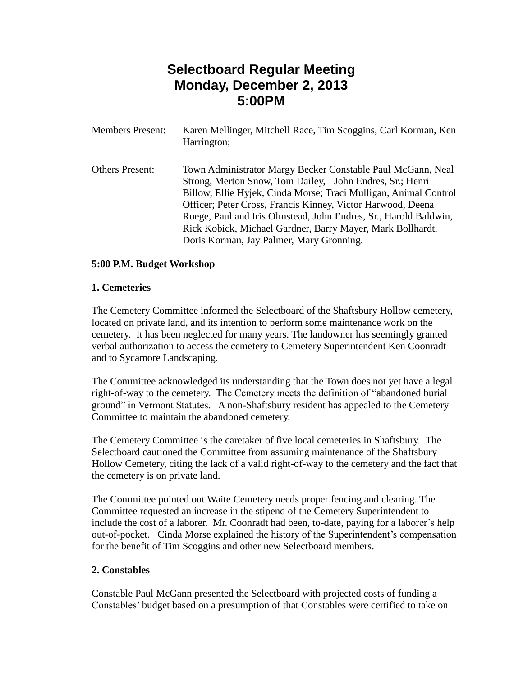# **Selectboard Regular Meeting Monday, December 2, 2013 5:00PM**

| <b>Members Present:</b> | Karen Mellinger, Mitchell Race, Tim Scoggins, Carl Korman, Ken<br>Harrington;                                                                                                                                                                                                                                                                                                                                                            |
|-------------------------|------------------------------------------------------------------------------------------------------------------------------------------------------------------------------------------------------------------------------------------------------------------------------------------------------------------------------------------------------------------------------------------------------------------------------------------|
| <b>Others Present:</b>  | Town Administrator Margy Becker Constable Paul McGann, Neal<br>Strong, Merton Snow, Tom Dailey, John Endres, Sr.; Henri<br>Billow, Ellie Hyjek, Cinda Morse; Traci Mulligan, Animal Control<br>Officer; Peter Cross, Francis Kinney, Victor Harwood, Deena<br>Ruege, Paul and Iris Olmstead, John Endres, Sr., Harold Baldwin,<br>Rick Kobick, Michael Gardner, Barry Mayer, Mark Bollhardt,<br>Doris Korman, Jay Palmer, Mary Gronning. |

## **5:00 P.M. Budget Workshop**

#### **1. Cemeteries**

The Cemetery Committee informed the Selectboard of the Shaftsbury Hollow cemetery, located on private land, and its intention to perform some maintenance work on the cemetery. It has been neglected for many years. The landowner has seemingly granted verbal authorization to access the cemetery to Cemetery Superintendent Ken Coonradt and to Sycamore Landscaping.

The Committee acknowledged its understanding that the Town does not yet have a legal right-of-way to the cemetery. The Cemetery meets the definition of "abandoned burial ground" in Vermont Statutes. A non-Shaftsbury resident has appealed to the Cemetery Committee to maintain the abandoned cemetery.

The Cemetery Committee is the caretaker of five local cemeteries in Shaftsbury. The Selectboard cautioned the Committee from assuming maintenance of the Shaftsbury Hollow Cemetery, citing the lack of a valid right-of-way to the cemetery and the fact that the cemetery is on private land.

The Committee pointed out Waite Cemetery needs proper fencing and clearing. The Committee requested an increase in the stipend of the Cemetery Superintendent to include the cost of a laborer. Mr. Coonradt had been, to-date, paying for a laborer's help out-of-pocket. Cinda Morse explained the history of the Superintendent's compensation for the benefit of Tim Scoggins and other new Selectboard members.

#### **2. Constables**

Constable Paul McGann presented the Selectboard with projected costs of funding a Constables' budget based on a presumption of that Constables were certified to take on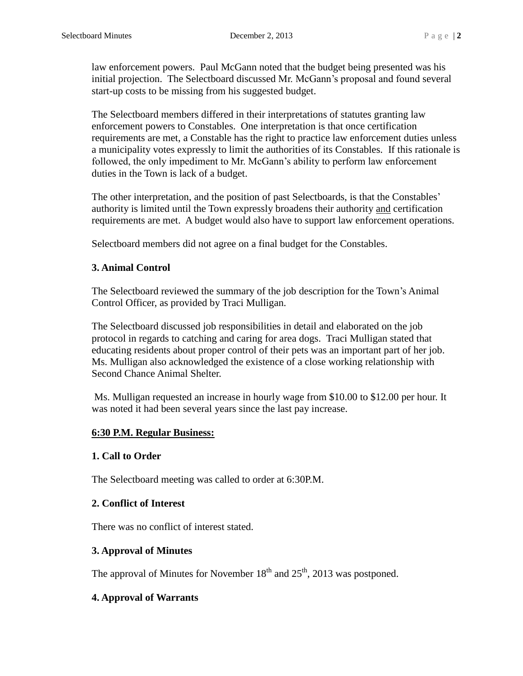law enforcement powers. Paul McGann noted that the budget being presented was his initial projection. The Selectboard discussed Mr. McGann's proposal and found several start-up costs to be missing from his suggested budget.

The Selectboard members differed in their interpretations of statutes granting law enforcement powers to Constables. One interpretation is that once certification requirements are met, a Constable has the right to practice law enforcement duties unless a municipality votes expressly to limit the authorities of its Constables. If this rationale is followed, the only impediment to Mr. McGann's ability to perform law enforcement duties in the Town is lack of a budget.

The other interpretation, and the position of past Selectboards, is that the Constables' authority is limited until the Town expressly broadens their authority and certification requirements are met. A budget would also have to support law enforcement operations.

Selectboard members did not agree on a final budget for the Constables.

# **3. Animal Control**

The Selectboard reviewed the summary of the job description for the Town's Animal Control Officer, as provided by Traci Mulligan.

The Selectboard discussed job responsibilities in detail and elaborated on the job protocol in regards to catching and caring for area dogs. Traci Mulligan stated that educating residents about proper control of their pets was an important part of her job. Ms. Mulligan also acknowledged the existence of a close working relationship with Second Chance Animal Shelter.

Ms. Mulligan requested an increase in hourly wage from \$10.00 to \$12.00 per hour. It was noted it had been several years since the last pay increase.

# **6:30 P.M. Regular Business:**

#### **1. Call to Order**

The Selectboard meeting was called to order at 6:30P.M.

# **2. Conflict of Interest**

There was no conflict of interest stated.

# **3. Approval of Minutes**

The approval of Minutes for November  $18<sup>th</sup>$  and  $25<sup>th</sup>$ , 2013 was postponed.

# **4. Approval of Warrants**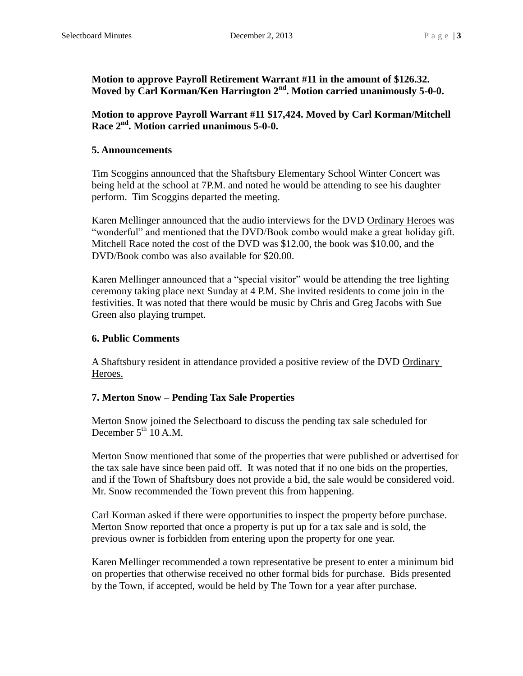**Motion to approve Payroll Retirement Warrant #11 in the amount of \$126.32. Moved by Carl Korman/Ken Harrington 2nd. Motion carried unanimously 5-0-0.**

**Motion to approve Payroll Warrant #11 \$17,424. Moved by Carl Korman/Mitchell Race 2nd. Motion carried unanimous 5-0-0.**

#### **5. Announcements**

Tim Scoggins announced that the Shaftsbury Elementary School Winter Concert was being held at the school at 7P.M. and noted he would be attending to see his daughter perform. Tim Scoggins departed the meeting.

Karen Mellinger announced that the audio interviews for the DVD Ordinary Heroes was "wonderful" and mentioned that the DVD/Book combo would make a great holiday gift. Mitchell Race noted the cost of the DVD was \$12.00, the book was \$10.00, and the DVD/Book combo was also available for \$20.00.

Karen Mellinger announced that a "special visitor" would be attending the tree lighting ceremony taking place next Sunday at 4 P.M. She invited residents to come join in the festivities. It was noted that there would be music by Chris and Greg Jacobs with Sue Green also playing trumpet.

## **6. Public Comments**

A Shaftsbury resident in attendance provided a positive review of the DVD Ordinary Heroes.

# **7. Merton Snow – Pending Tax Sale Properties**

Merton Snow joined the Selectboard to discuss the pending tax sale scheduled for December  $5^{\text{th}}$  10 A.M.

Merton Snow mentioned that some of the properties that were published or advertised for the tax sale have since been paid off. It was noted that if no one bids on the properties, and if the Town of Shaftsbury does not provide a bid, the sale would be considered void. Mr. Snow recommended the Town prevent this from happening.

Carl Korman asked if there were opportunities to inspect the property before purchase. Merton Snow reported that once a property is put up for a tax sale and is sold, the previous owner is forbidden from entering upon the property for one year.

Karen Mellinger recommended a town representative be present to enter a minimum bid on properties that otherwise received no other formal bids for purchase. Bids presented by the Town, if accepted, would be held by The Town for a year after purchase.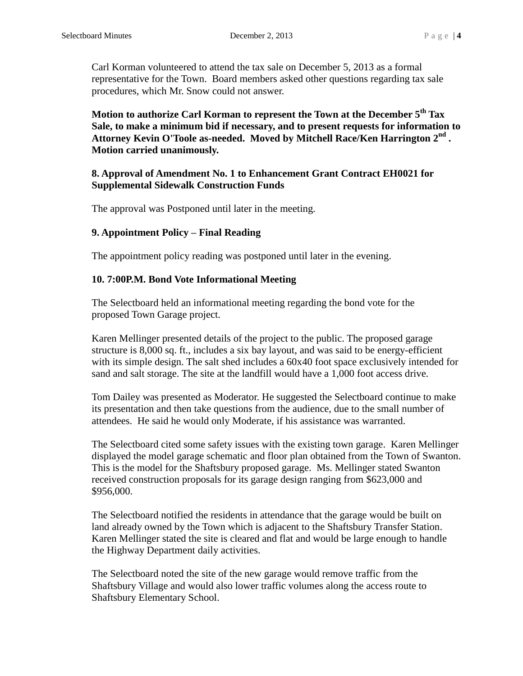Carl Korman volunteered to attend the tax sale on December 5, 2013 as a formal representative for the Town. Board members asked other questions regarding tax sale procedures, which Mr. Snow could not answer.

**Motion to authorize Carl Korman to represent the Town at the December 5th Tax Sale, to make a minimum bid if necessary, and to present requests for information to Attorney Kevin O'Toole as-needed. Moved by Mitchell Race/Ken Harrington 2nd . Motion carried unanimously.**

# **8. Approval of Amendment No. 1 to Enhancement Grant Contract EH0021 for Supplemental Sidewalk Construction Funds**

The approval was Postponed until later in the meeting.

# **9. Appointment Policy – Final Reading**

The appointment policy reading was postponed until later in the evening.

# **10. 7:00P.M. Bond Vote Informational Meeting**

The Selectboard held an informational meeting regarding the bond vote for the proposed Town Garage project.

Karen Mellinger presented details of the project to the public. The proposed garage structure is 8,000 sq. ft., includes a six bay layout, and was said to be energy-efficient with its simple design. The salt shed includes a  $60x40$  foot space exclusively intended for sand and salt storage. The site at the landfill would have a 1,000 foot access drive.

Tom Dailey was presented as Moderator. He suggested the Selectboard continue to make its presentation and then take questions from the audience, due to the small number of attendees. He said he would only Moderate, if his assistance was warranted.

The Selectboard cited some safety issues with the existing town garage. Karen Mellinger displayed the model garage schematic and floor plan obtained from the Town of Swanton. This is the model for the Shaftsbury proposed garage. Ms. Mellinger stated Swanton received construction proposals for its garage design ranging from \$623,000 and \$956,000.

The Selectboard notified the residents in attendance that the garage would be built on land already owned by the Town which is adjacent to the Shaftsbury Transfer Station. Karen Mellinger stated the site is cleared and flat and would be large enough to handle the Highway Department daily activities.

The Selectboard noted the site of the new garage would remove traffic from the Shaftsbury Village and would also lower traffic volumes along the access route to Shaftsbury Elementary School.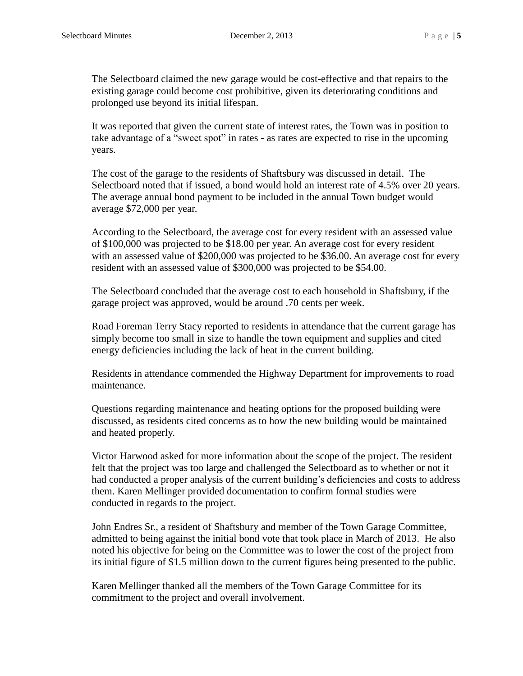The Selectboard claimed the new garage would be cost-effective and that repairs to the existing garage could become cost prohibitive, given its deteriorating conditions and prolonged use beyond its initial lifespan.

It was reported that given the current state of interest rates, the Town was in position to take advantage of a "sweet spot" in rates - as rates are expected to rise in the upcoming years.

The cost of the garage to the residents of Shaftsbury was discussed in detail. The Selectboard noted that if issued, a bond would hold an interest rate of 4.5% over 20 years. The average annual bond payment to be included in the annual Town budget would average \$72,000 per year.

According to the Selectboard, the average cost for every resident with an assessed value of \$100,000 was projected to be \$18.00 per year. An average cost for every resident with an assessed value of \$200,000 was projected to be \$36.00. An average cost for every resident with an assessed value of \$300,000 was projected to be \$54.00.

The Selectboard concluded that the average cost to each household in Shaftsbury, if the garage project was approved, would be around .70 cents per week.

Road Foreman Terry Stacy reported to residents in attendance that the current garage has simply become too small in size to handle the town equipment and supplies and cited energy deficiencies including the lack of heat in the current building.

Residents in attendance commended the Highway Department for improvements to road maintenance.

Questions regarding maintenance and heating options for the proposed building were discussed, as residents cited concerns as to how the new building would be maintained and heated properly.

Victor Harwood asked for more information about the scope of the project. The resident felt that the project was too large and challenged the Selectboard as to whether or not it had conducted a proper analysis of the current building's deficiencies and costs to address them. Karen Mellinger provided documentation to confirm formal studies were conducted in regards to the project.

John Endres Sr., a resident of Shaftsbury and member of the Town Garage Committee, admitted to being against the initial bond vote that took place in March of 2013. He also noted his objective for being on the Committee was to lower the cost of the project from its initial figure of \$1.5 million down to the current figures being presented to the public.

Karen Mellinger thanked all the members of the Town Garage Committee for its commitment to the project and overall involvement.